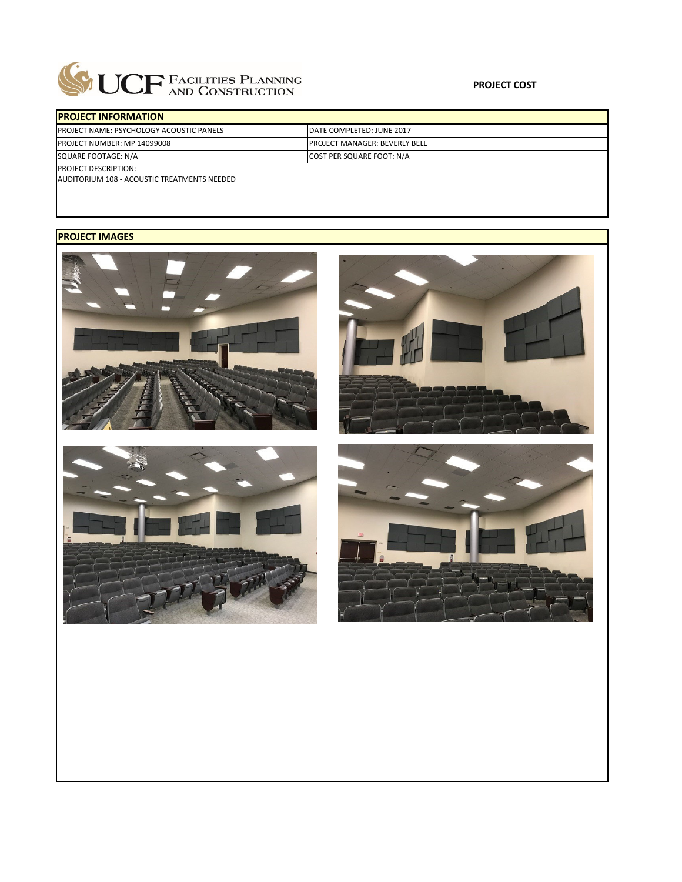

| <b>IPROJECT INFORMATION</b>                     |                                       |  |  |  |  |
|-------------------------------------------------|---------------------------------------|--|--|--|--|
| <b>PROJECT NAME: PSYCHOLOGY ACOUSTIC PANELS</b> | DATE COMPLETED: JUNE 2017             |  |  |  |  |
| <b>PROJECT NUMBER: MP 14099008</b>              | <b>IPROJECT MANAGER: BEVERLY BELL</b> |  |  |  |  |
| SQUARE FOOTAGE: N/A                             | <b>COST PER SQUARE FOOT: N/A</b>      |  |  |  |  |
| <b>PROJECT DESCRIPTION:</b>                     |                                       |  |  |  |  |

AUDITORIUM 108 ‐ ACOUSTIC TREATMENTS NEEDED

## **PROJECT IMAGES**